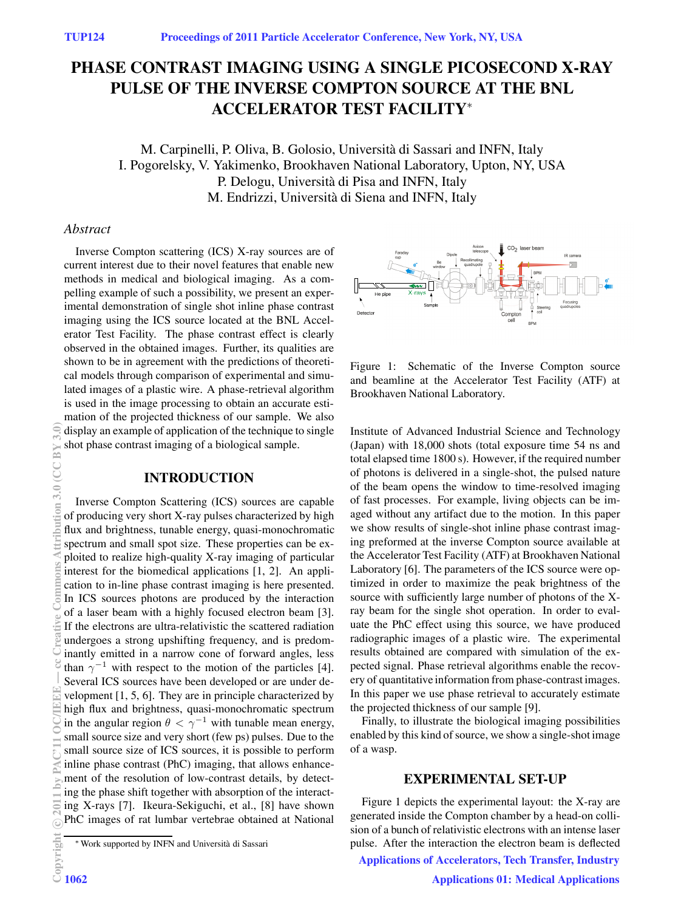# **PHASE CONTRAST IMAGING USING A SINGLE PICOSECOND X-RAY PULSE OF THE INVERSE COMPTON SOURCE AT THE BNL ACCELERATOR TEST FACILITY**<sup>∗</sup>

M. Carpinelli, P. Oliva, B. Golosio, Università di Sassari and INFN, Italy I. Pogorelsky, V. Yakimenko, Brookhaven National Laboratory, Upton, NY, USA P. Delogu, Università di Pisa and INFN, Italy M. Endrizzi, Università di Siena and INFN, Italy

## *Abstract*

Inverse Compton scattering (ICS) X-ray sources are of current interest due to their novel features that enable new methods in medical and biological imaging. As a compelling example of such a possibility, we present an experimental demonstration of single shot inline phase contrast imaging using the ICS source located at the BNL Accelerator Test Facility. The phase contrast effect is clearly observed in the obtained images. Further, its qualities are shown to be in agreement with the predictions of theoretical models through comparison of experimental and simulated images of a plastic wire. A phase-retrieval algorithm is used in the image processing to obtain an accurate estimation of the projected thickness of our sample. We also display an example of application of the technique to single shot phase contrast imaging of a biological sample.

## **INTRODUCTION**

Inverse Compton Scattering (ICS) sources are capable of producing very short X-ray pulses characterized by high flux and brightness, tunable energy, quasi-monochromatic spectrum and small spot size. These properties can be exploited to realize high-quality X-ray imaging of particular interest for the biomedical applications [1, 2]. An application to in-line phase contrast imaging is here presented. In ICS sources photons are produced by the interaction of a laser beam with a highly focused electron beam [3]. If the electrons are ultra-relativistic the scattered radiation undergoes a strong upshifting frequency, and is predominantly emitted in a narrow cone of forward angles, less than  $\gamma^{-1}$  with respect to the motion of the particles [4]. Several ICS sources have been developed or are under development [1, 5, 6]. They are in principle characterized by high flux and brightness, quasi-monochromatic spectrum in the angular region  $\theta < \gamma^{-1}$  with tunable mean energy, small source size and very short (few ps) pulses. Due to the small source size of ICS sources, it is possible to perform inline phase contrast (PhC) imaging, that allows enhancement of the resolution of low-contrast details, by detecting the phase shift together with absorption of the interacting X-rays [7]. Ikeura-Sekiguchi, et al., [8] have shown PhC images of rat lumbar vertebrae obtained at National



Figure 1: Schematic of the Inverse Compton source and beamline at the Accelerator Test Facility (ATF) at Brookhaven National Laboratory.

Institute of Advanced Industrial Science and Technology (Japan) with 18,000 shots (total exposure time 54 ns and total elapsed time 1800 s). However, if the required number of photons is delivered in a single-shot, the pulsed nature of the beam opens the window to time-resolved imaging of fast processes. For example, living objects can be imaged without any artifact due to the motion. In this paper we show results of single-shot inline phase contrast imaging preformed at the inverse Compton source available at the Accelerator Test Facility (ATF) at Brookhaven National Laboratory [6]. The parameters of the ICS source were optimized in order to maximize the peak brightness of the source with sufficiently large number of photons of the Xray beam for the single shot operation. In order to evaluate the PhC effect using this source, we have produced radiographic images of a plastic wire. The experimental results obtained are compared with simulation of the expected signal. Phase retrieval algorithms enable the recovery of quantitative information from phase-contrast images. In this paper we use phase retrieval to accurately estimate the projected thickness of our sample [9].

Finally, to illustrate the biological imaging possibilities enabled by this kind of source, we show a single-shot image of a wasp.

### **EXPERIMENTAL SET-UP**

Figure 1 depicts the experimental layout: the X-ray are generated inside the Compton chamber by a head-on collision of a bunch of relativistic electrons with an intense laser pulse. After the interaction the electron beam is deflected

Applications of Accelerators, Tech Transfer, Industry

<sup>∗</sup>Work supported by INFN and Universit`a di Sassari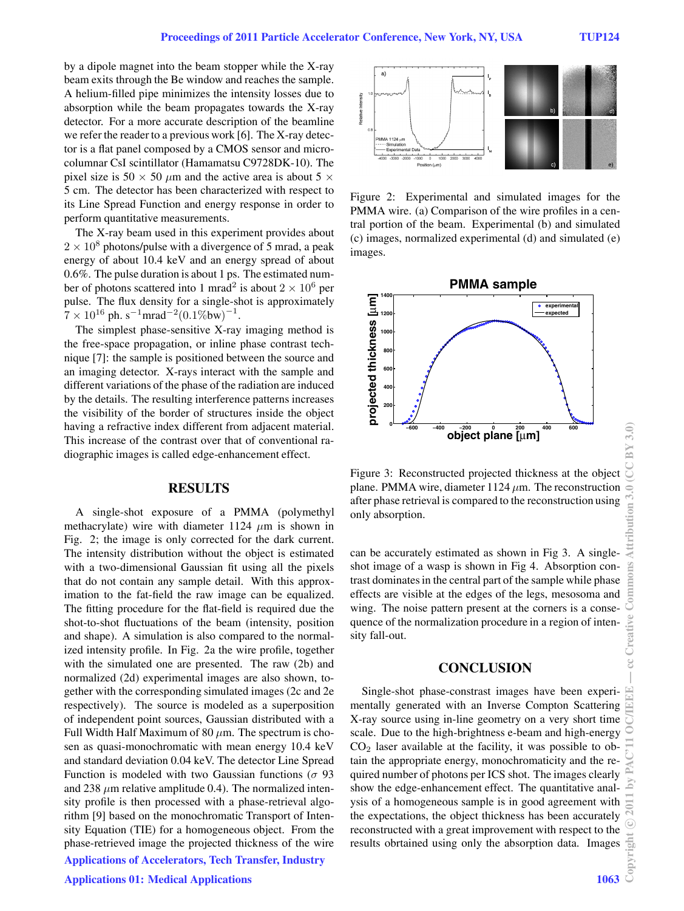by a dipole magnet into the beam stopper while the X-ray beam exits through the Be window and reaches the sample. A helium-filled pipe minimizes the intensity losses due to absorption while the beam propagates towards the X-ray detector. For a more accurate description of the beamline we refer the reader to a previous work [6]. The X-ray detector is a flat panel composed by a CMOS sensor and microcolumnar CsI scintillator (Hamamatsu C9728DK-10). The pixel size is 50  $\times$  50  $\mu$ m and the active area is about 5  $\times$ 5 cm. The detector has been characterized with respect to its Line Spread Function and energy response in order to perform quantitative measurements.

The X-ray beam used in this experiment provides about  $2 \times 10^8$  photons/pulse with a divergence of 5 mrad, a peak energy of about 10.4 keV and an energy spread of about 0.6%. The pulse duration is about 1 ps. The estimated number of photons scattered into 1 mrad<sup>2</sup> is about  $2 \times 10^6$  per pulse. The flux density for a single-shot is approximately <sup>7</sup> <sup>×</sup> <sup>10</sup><sup>16</sup> ph. s*−*<sup>1</sup>mrad*−*2(0.1%bw) *−*1 .

The simplest phase-sensitive X-ray imaging method is the free-space propagation, or inline phase contrast technique [7]: the sample is positioned between the source and an imaging detector. X-rays interact with the sample and different variations of the phase of the radiation are induced by the details. The resulting interference patterns increases the visibility of the border of structures inside the object having a refractive index different from adjacent material. This increase of the contrast over that of conventional radiographic images is called edge-enhancement effect.

#### **RESULTS**

A single-shot exposure of a PMMA (polymethyl methacrylate) wire with diameter 1124  $\mu$ m is shown in Fig. 2; the image is only corrected for the dark current. The intensity distribution without the object is estimated with a two-dimensional Gaussian fit using all the pixels that do not contain any sample detail. With this approximation to the fat-field the raw image can be equalized. The fitting procedure for the flat-field is required due the shot-to-shot fluctuations of the beam (intensity, position and shape). A simulation is also compared to the normalized intensity profile. In Fig. 2a the wire profile, together with the simulated one are presented. The raw (2b) and normalized (2d) experimental images are also shown, together with the corresponding simulated images (2c and 2e respectively). The source is modeled as a superposition of independent point sources, Gaussian distributed with a Full Width Half Maximum of 80  $\mu$ m. The spectrum is chosen as quasi-monochromatic with mean energy 10.4 keV and standard deviation 0.04 keV. The detector Line Spread Function is modeled with two Gaussian functions ( $\sigma$  93 and 238  $\mu$ m relative amplitude 0.4). The normalized intensity profile is then processed with a phase-retrieval algorithm [9] based on the monochromatic Transport of Intensity Equation (TIE) for a homogeneous object. From the phase-retrieved image the projected thickness of the wire

Applications of Accelerators, Tech Transfer, Industry



Figure 2: Experimental and simulated images for the PMMA wire. (a) Comparison of the wire profiles in a central portion of the beam. Experimental (b) and simulated (c) images, normalized experimental (d) and simulated (e) images.



Figure 3: Reconstructed projected thickness at the object plane. PMMA wire, diameter  $1124 \mu m$ . The reconstruction after phase retrieval is compared to the reconstruction using only absorption.

can be accurately estimated as shown in Fig 3. A singleshot image of a wasp is shown in Fig 4. Absorption contrast dominates in the central part of the sample while phase effects are visible at the edges of the legs, mesosoma and wing. The noise pattern present at the corners is a consequence of the normalization procedure in a region of intensity fall-out.

## **CONCLUSION**

Single-shot phase-constrast images have been experimentally generated with an Inverse Compton Scattering X-ray source using in-line geometry on a very short time scale. Due to the high-brightness e-beam and high-energy  $CO<sub>2</sub>$  laser available at the facility, it was possible to obtain the appropriate energy, monochromaticity and the required number of photons per ICS shot. The images clearly show the edge-enhancement effect. The quantitative analysis of a homogeneous sample is in good agreement with the expectations, the object thickness has been accurately reconstructed with a great improvement with respect to the results obrtained using only the absorption data. Images